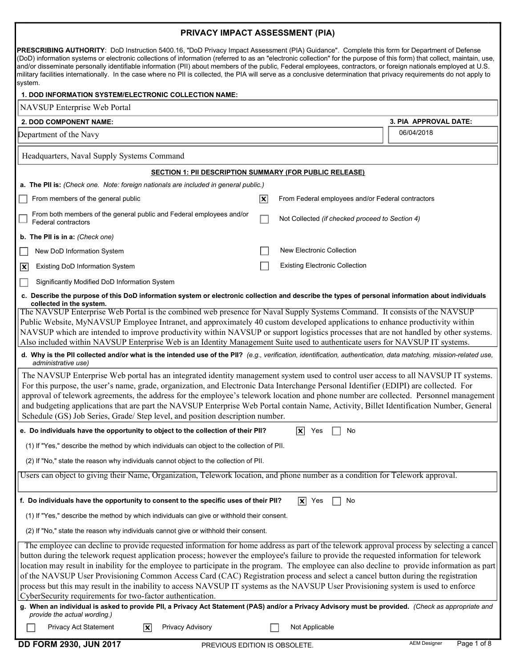## PRIVACY IMPACT ASSESSMENT (PIA)

PRESCRIBING AUTHORITY: DoD Instruction 5400.16, "DoD Privacy Impact Assessment (PIA) Guidance". Complete this form for Department of Defense (DoD) information systems or electronic collections of information (referred to as an "electronic collection" for the purpose of this form) that collect, maintain, use, and/or disseminate personally identifiable information (PII) about members of the public, Federal employees, contractors, or foreign nationals employed at U.S. military facilities internationally. In the case where no PII is collected, the PIA will serve as a conclusive determination that privacy requirements do not apply to system.

| 1. DOD INFORMATION SYSTEM/ELECTRONIC COLLECTION NAME:                                                                                                                                                                                                                                                                                                                                                                                                                                                                                                                                                                                                                                                                                                                                                                                                                                                                                                               |                         |                                                   |                       |  |  |
|---------------------------------------------------------------------------------------------------------------------------------------------------------------------------------------------------------------------------------------------------------------------------------------------------------------------------------------------------------------------------------------------------------------------------------------------------------------------------------------------------------------------------------------------------------------------------------------------------------------------------------------------------------------------------------------------------------------------------------------------------------------------------------------------------------------------------------------------------------------------------------------------------------------------------------------------------------------------|-------------------------|---------------------------------------------------|-----------------------|--|--|
| NAVSUP Enterprise Web Portal                                                                                                                                                                                                                                                                                                                                                                                                                                                                                                                                                                                                                                                                                                                                                                                                                                                                                                                                        |                         |                                                   |                       |  |  |
| 2. DOD COMPONENT NAME:                                                                                                                                                                                                                                                                                                                                                                                                                                                                                                                                                                                                                                                                                                                                                                                                                                                                                                                                              |                         |                                                   | 3. PIA APPROVAL DATE: |  |  |
| Department of the Navy                                                                                                                                                                                                                                                                                                                                                                                                                                                                                                                                                                                                                                                                                                                                                                                                                                                                                                                                              |                         |                                                   | 06/04/2018            |  |  |
| Headquarters, Naval Supply Systems Command                                                                                                                                                                                                                                                                                                                                                                                                                                                                                                                                                                                                                                                                                                                                                                                                                                                                                                                          |                         |                                                   |                       |  |  |
| <b>SECTION 1: PII DESCRIPTION SUMMARY (FOR PUBLIC RELEASE)</b>                                                                                                                                                                                                                                                                                                                                                                                                                                                                                                                                                                                                                                                                                                                                                                                                                                                                                                      |                         |                                                   |                       |  |  |
| a. The PII is: (Check one. Note: foreign nationals are included in general public.)                                                                                                                                                                                                                                                                                                                                                                                                                                                                                                                                                                                                                                                                                                                                                                                                                                                                                 |                         |                                                   |                       |  |  |
| From members of the general public                                                                                                                                                                                                                                                                                                                                                                                                                                                                                                                                                                                                                                                                                                                                                                                                                                                                                                                                  | $\overline{\mathbf{x}}$ | From Federal employees and/or Federal contractors |                       |  |  |
| From both members of the general public and Federal employees and/or<br><b>Federal contractors</b>                                                                                                                                                                                                                                                                                                                                                                                                                                                                                                                                                                                                                                                                                                                                                                                                                                                                  |                         | Not Collected (if checked proceed to Section 4)   |                       |  |  |
| b. The PII is in a: (Check one)                                                                                                                                                                                                                                                                                                                                                                                                                                                                                                                                                                                                                                                                                                                                                                                                                                                                                                                                     |                         |                                                   |                       |  |  |
| New DoD Information System                                                                                                                                                                                                                                                                                                                                                                                                                                                                                                                                                                                                                                                                                                                                                                                                                                                                                                                                          |                         | <b>New Electronic Collection</b>                  |                       |  |  |
| 冈<br><b>Existing DoD Information System</b>                                                                                                                                                                                                                                                                                                                                                                                                                                                                                                                                                                                                                                                                                                                                                                                                                                                                                                                         |                         | <b>Existing Electronic Collection</b>             |                       |  |  |
| Significantly Modified DoD Information System                                                                                                                                                                                                                                                                                                                                                                                                                                                                                                                                                                                                                                                                                                                                                                                                                                                                                                                       |                         |                                                   |                       |  |  |
| c. Describe the purpose of this DoD information system or electronic collection and describe the types of personal information about individuals<br>collected in the system.                                                                                                                                                                                                                                                                                                                                                                                                                                                                                                                                                                                                                                                                                                                                                                                        |                         |                                                   |                       |  |  |
| The NAVSUP Enterprise Web Portal is the combined web presence for Naval Supply Systems Command. It consists of the NAVSUP<br>Public Website, MyNAVSUP Employee Intranet, and approximately 40 custom developed applications to enhance productivity within<br>NAVSUP which are intended to improve productivity within NAVSUP or support logistics processes that are not handled by other systems.<br>Also included within NAVSUP Enterprise Web is an Identity Management Suite used to authenticate users for NAVSUP IT systems.<br>d. Why is the PII collected and/or what is the intended use of the PII? (e.g., verification, identification, authentication, data matching, mission-related use,<br>administrative use)                                                                                                                                                                                                                                      |                         |                                                   |                       |  |  |
| The NAVSUP Enterprise Web portal has an integrated identity management system used to control user access to all NAVSUP IT systems.<br>For this purpose, the user's name, grade, organization, and Electronic Data Interchange Personal Identifier (EDIPI) are collected. For<br>approval of telework agreements, the address for the employee's telework location and phone number are collected. Personnel management<br>and budgeting applications that are part the NAVSUP Enterprise Web Portal contain Name, Activity, Billet Identification Number, General<br>Schedule (GS) Job Series, Grade/ Step level, and position description number.                                                                                                                                                                                                                                                                                                                 |                         |                                                   |                       |  |  |
| e. Do individuals have the opportunity to object to the collection of their PII?<br>$ \mathbf{x} $<br>No<br>Yes                                                                                                                                                                                                                                                                                                                                                                                                                                                                                                                                                                                                                                                                                                                                                                                                                                                     |                         |                                                   |                       |  |  |
| (1) If "Yes," describe the method by which individuals can object to the collection of PII.                                                                                                                                                                                                                                                                                                                                                                                                                                                                                                                                                                                                                                                                                                                                                                                                                                                                         |                         |                                                   |                       |  |  |
| (2) If "No," state the reason why individuals cannot object to the collection of PII.                                                                                                                                                                                                                                                                                                                                                                                                                                                                                                                                                                                                                                                                                                                                                                                                                                                                               |                         |                                                   |                       |  |  |
| Users can object to giving their Name, Organization, Telework location, and phone number as a condition for Telework approval.                                                                                                                                                                                                                                                                                                                                                                                                                                                                                                                                                                                                                                                                                                                                                                                                                                      |                         |                                                   |                       |  |  |
| f. Do individuals have the opportunity to consent to the specific uses of their PII?                                                                                                                                                                                                                                                                                                                                                                                                                                                                                                                                                                                                                                                                                                                                                                                                                                                                                |                         | $ \mathbf{x} $ Yes<br>No                          |                       |  |  |
| (1) If "Yes," describe the method by which individuals can give or withhold their consent.                                                                                                                                                                                                                                                                                                                                                                                                                                                                                                                                                                                                                                                                                                                                                                                                                                                                          |                         |                                                   |                       |  |  |
| (2) If "No," state the reason why individuals cannot give or withhold their consent.                                                                                                                                                                                                                                                                                                                                                                                                                                                                                                                                                                                                                                                                                                                                                                                                                                                                                |                         |                                                   |                       |  |  |
| The employee can decline to provide requested information for home address as part of the telework approval process by selecting a cancel<br>button during the telework request application process; however the employee's failure to provide the requested information for telework<br>location may result in inability for the employee to participate in the program. The employee can also decline to provide information as part<br>of the NAVSUP User Provisioning Common Access Card (CAC) Registration process and select a cancel button during the registration<br>process but this may result in the inability to access NAVSUP IT systems as the NAVSUP User Provisioning system is used to enforce<br>CyberSecurity requirements for two-factor authentication.<br>g. When an individual is asked to provide PII, a Privacy Act Statement (PAS) and/or a Privacy Advisory must be provided. (Check as appropriate and<br>provide the actual wording.) |                         |                                                   |                       |  |  |
| Privacy Advisory<br><b>Privacy Act Statement</b><br>$ \mathbf{x} $                                                                                                                                                                                                                                                                                                                                                                                                                                                                                                                                                                                                                                                                                                                                                                                                                                                                                                  |                         | Not Applicable                                    |                       |  |  |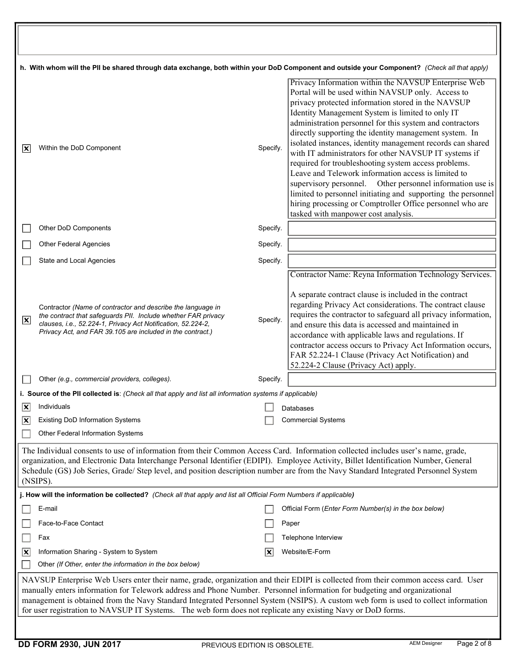| h. With whom will the PII be shared through data exchange, both within your DoD Component and outside your Component? (Check all that apply)                                                                                                                                                                                                                                                                              |                                                                                                                                                                                                                                                                                                                                                                                                                                                                                                                       |          |                                                                                                                                                                                                                                                                                                                                                                                                                                                                                                                                                                                                                                                                                                                                                                                                                  |  |  |
|---------------------------------------------------------------------------------------------------------------------------------------------------------------------------------------------------------------------------------------------------------------------------------------------------------------------------------------------------------------------------------------------------------------------------|-----------------------------------------------------------------------------------------------------------------------------------------------------------------------------------------------------------------------------------------------------------------------------------------------------------------------------------------------------------------------------------------------------------------------------------------------------------------------------------------------------------------------|----------|------------------------------------------------------------------------------------------------------------------------------------------------------------------------------------------------------------------------------------------------------------------------------------------------------------------------------------------------------------------------------------------------------------------------------------------------------------------------------------------------------------------------------------------------------------------------------------------------------------------------------------------------------------------------------------------------------------------------------------------------------------------------------------------------------------------|--|--|
| ΙX                                                                                                                                                                                                                                                                                                                                                                                                                        | Within the DoD Component                                                                                                                                                                                                                                                                                                                                                                                                                                                                                              | Specify. | Privacy Information within the NAVSUP Enterprise Web<br>Portal will be used within NAVSUP only. Access to<br>privacy protected information stored in the NAVSUP<br>Identity Management System is limited to only IT<br>administration personnel for this system and contractors<br>directly supporting the identity management system. In<br>isolated instances, identity management records can shared<br>with IT administrators for other NAVSUP IT systems if<br>required for troubleshooting system access problems.<br>Leave and Telework information access is limited to<br>supervisory personnel. Other personnel information use is<br>limited to personnel initiating and supporting the personnel<br>hiring processing or Comptroller Office personnel who are<br>tasked with manpower cost analysis. |  |  |
|                                                                                                                                                                                                                                                                                                                                                                                                                           | Other DoD Components                                                                                                                                                                                                                                                                                                                                                                                                                                                                                                  | Specify. |                                                                                                                                                                                                                                                                                                                                                                                                                                                                                                                                                                                                                                                                                                                                                                                                                  |  |  |
|                                                                                                                                                                                                                                                                                                                                                                                                                           | <b>Other Federal Agencies</b>                                                                                                                                                                                                                                                                                                                                                                                                                                                                                         | Specify. |                                                                                                                                                                                                                                                                                                                                                                                                                                                                                                                                                                                                                                                                                                                                                                                                                  |  |  |
|                                                                                                                                                                                                                                                                                                                                                                                                                           | State and Local Agencies                                                                                                                                                                                                                                                                                                                                                                                                                                                                                              | Specify. |                                                                                                                                                                                                                                                                                                                                                                                                                                                                                                                                                                                                                                                                                                                                                                                                                  |  |  |
| $ \mathbf{x} $                                                                                                                                                                                                                                                                                                                                                                                                            | Contractor (Name of contractor and describe the language in<br>the contract that safeguards PII. Include whether FAR privacy<br>clauses, i.e., 52.224-1, Privacy Act Notification, 52.224-2,<br>Privacy Act, and FAR 39.105 are included in the contract.)                                                                                                                                                                                                                                                            | Specify. | Contractor Name: Reyna Information Technology Services.<br>A separate contract clause is included in the contract<br>regarding Privacy Act considerations. The contract clause<br>requires the contractor to safeguard all privacy information,<br>and ensure this data is accessed and maintained in<br>accordance with applicable laws and regulations. If<br>contractor access occurs to Privacy Act Information occurs,<br>FAR 52.224-1 Clause (Privacy Act Notification) and<br>52.224-2 Clause (Privacy Act) apply.                                                                                                                                                                                                                                                                                        |  |  |
|                                                                                                                                                                                                                                                                                                                                                                                                                           | Other (e.g., commercial providers, colleges).                                                                                                                                                                                                                                                                                                                                                                                                                                                                         | Specify. |                                                                                                                                                                                                                                                                                                                                                                                                                                                                                                                                                                                                                                                                                                                                                                                                                  |  |  |
|                                                                                                                                                                                                                                                                                                                                                                                                                           | i. Source of the PII collected is: (Check all that apply and list all information systems if applicable)                                                                                                                                                                                                                                                                                                                                                                                                              |          |                                                                                                                                                                                                                                                                                                                                                                                                                                                                                                                                                                                                                                                                                                                                                                                                                  |  |  |
| IХ                                                                                                                                                                                                                                                                                                                                                                                                                        | Individuals<br><b>Existing DoD Information Systems</b>                                                                                                                                                                                                                                                                                                                                                                                                                                                                |          | Databases<br><b>Commercial Systems</b>                                                                                                                                                                                                                                                                                                                                                                                                                                                                                                                                                                                                                                                                                                                                                                           |  |  |
| X                                                                                                                                                                                                                                                                                                                                                                                                                         | Other Federal Information Systems                                                                                                                                                                                                                                                                                                                                                                                                                                                                                     |          |                                                                                                                                                                                                                                                                                                                                                                                                                                                                                                                                                                                                                                                                                                                                                                                                                  |  |  |
| The Individual consents to use of information from their Common Access Card. Information collected includes user's name, grade,<br>organization, and Electronic Data Interchange Personal Identifier (EDIPI). Employee Activity, Billet Identification Number, General<br>Schedule (GS) Job Series, Grade/ Step level, and position description number are from the Navy Standard Integrated Personnel System<br>(NSIPS). |                                                                                                                                                                                                                                                                                                                                                                                                                                                                                                                       |          |                                                                                                                                                                                                                                                                                                                                                                                                                                                                                                                                                                                                                                                                                                                                                                                                                  |  |  |
|                                                                                                                                                                                                                                                                                                                                                                                                                           | j. How will the information be collected? (Check all that apply and list all Official Form Numbers if applicable)                                                                                                                                                                                                                                                                                                                                                                                                     |          |                                                                                                                                                                                                                                                                                                                                                                                                                                                                                                                                                                                                                                                                                                                                                                                                                  |  |  |
|                                                                                                                                                                                                                                                                                                                                                                                                                           | E-mail                                                                                                                                                                                                                                                                                                                                                                                                                                                                                                                |          | Official Form (Enter Form Number(s) in the box below)                                                                                                                                                                                                                                                                                                                                                                                                                                                                                                                                                                                                                                                                                                                                                            |  |  |
|                                                                                                                                                                                                                                                                                                                                                                                                                           | Face-to-Face Contact                                                                                                                                                                                                                                                                                                                                                                                                                                                                                                  |          | Paper                                                                                                                                                                                                                                                                                                                                                                                                                                                                                                                                                                                                                                                                                                                                                                                                            |  |  |
|                                                                                                                                                                                                                                                                                                                                                                                                                           | Fax                                                                                                                                                                                                                                                                                                                                                                                                                                                                                                                   |          | Telephone Interview                                                                                                                                                                                                                                                                                                                                                                                                                                                                                                                                                                                                                                                                                                                                                                                              |  |  |
| <u> x</u>                                                                                                                                                                                                                                                                                                                                                                                                                 | Information Sharing - System to System                                                                                                                                                                                                                                                                                                                                                                                                                                                                                | X        | Website/E-Form                                                                                                                                                                                                                                                                                                                                                                                                                                                                                                                                                                                                                                                                                                                                                                                                   |  |  |
|                                                                                                                                                                                                                                                                                                                                                                                                                           | Other (If Other, enter the information in the box below)                                                                                                                                                                                                                                                                                                                                                                                                                                                              |          |                                                                                                                                                                                                                                                                                                                                                                                                                                                                                                                                                                                                                                                                                                                                                                                                                  |  |  |
|                                                                                                                                                                                                                                                                                                                                                                                                                           | NAVSUP Enterprise Web Users enter their name, grade, organization and their EDIPI is collected from their common access card. User<br>manually enters information for Telework address and Phone Number. Personnel information for budgeting and organizational<br>management is obtained from the Navy Standard Integrated Personnel System (NSIPS). A custom web form is used to collect information<br>for user registration to NAVSUP IT Systems. The web form does not replicate any existing Navy or DoD forms. |          |                                                                                                                                                                                                                                                                                                                                                                                                                                                                                                                                                                                                                                                                                                                                                                                                                  |  |  |
|                                                                                                                                                                                                                                                                                                                                                                                                                           |                                                                                                                                                                                                                                                                                                                                                                                                                                                                                                                       |          |                                                                                                                                                                                                                                                                                                                                                                                                                                                                                                                                                                                                                                                                                                                                                                                                                  |  |  |